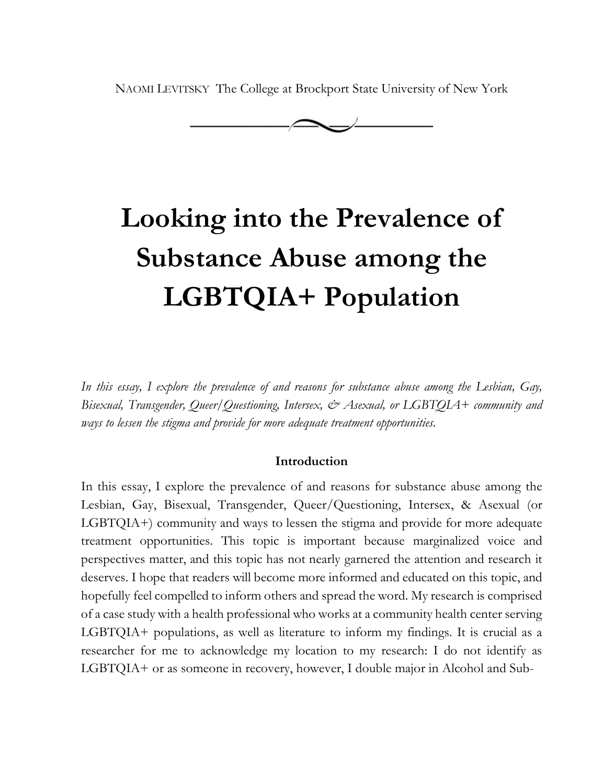NAOMI LEVITSKY The College at Brockport State University of New York



# **Looking into the Prevalence of Substance Abuse among the LGBTQIA+ Population**

*In this essay, I explore the prevalence of and reasons for substance abuse among the Lesbian, Gay, Bisexual, Transgender, Queer/Questioning, Intersex, & Asexual, or LGBTQIA+ community and ways to lessen the stigma and provide for more adequate treatment opportunities.* 

#### **Introduction**

In this essay, I explore the prevalence of and reasons for substance abuse among the Lesbian, Gay, Bisexual, Transgender, Queer/Questioning, Intersex, & Asexual (or LGBTQIA+) community and ways to lessen the stigma and provide for more adequate treatment opportunities. This topic is important because marginalized voice and perspectives matter, and this topic has not nearly garnered the attention and research it deserves. I hope that readers will become more informed and educated on this topic, and hopefully feel compelled to inform others and spread the word. My research is comprised of a case study with a health professional who works at a community health center serving LGBTQIA+ populations, as well as literature to inform my findings. It is crucial as a researcher for me to acknowledge my location to my research: I do not identify as LGBTQIA+ or as someone in recovery, however, I double major in Alcohol and Sub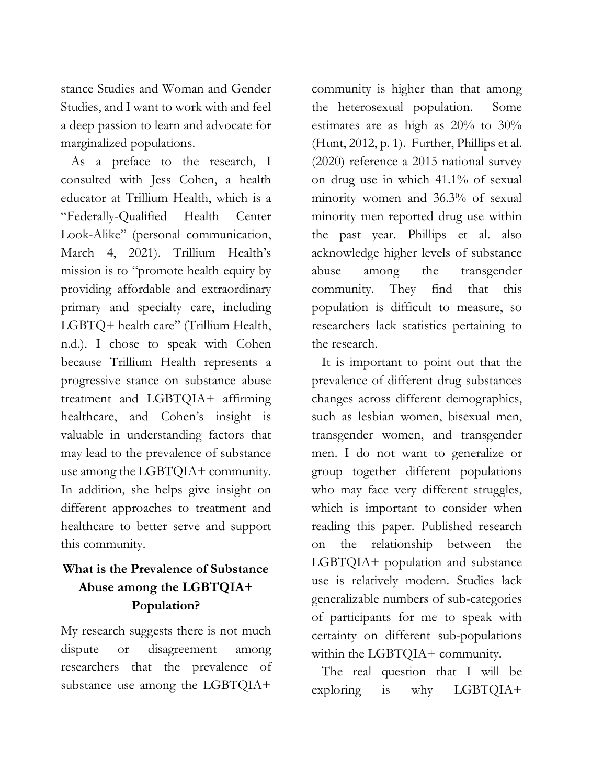stance Studies and Woman and Gender Studies, and I want to work with and feel a deep passion to learn and advocate for marginalized populations.

As a preface to the research, I consulted with Jess Cohen, a health educator at Trillium Health, which is a "Federally-Qualified Health Center Look-Alike" (personal communication, March 4, 2021). Trillium Health's mission is to "promote health equity by providing affordable and extraordinary primary and specialty care, including LGBTQ+ health care" (Trillium Health, n.d.). I chose to speak with Cohen because Trillium Health represents a progressive stance on substance abuse treatment and LGBTQIA+ affirming healthcare, and Cohen's insight is valuable in understanding factors that may lead to the prevalence of substance use among the LGBTQIA+ community. In addition, she helps give insight on different approaches to treatment and healthcare to better serve and support this community.

## **What is the Prevalence of Substance Abuse among the LGBTQIA+ Population?**

My research suggests there is not much dispute or disagreement among researchers that the prevalence of substance use among the LGBTQIA+

community is higher than that among the heterosexual population. Some estimates are as high as 20% to 30% (Hunt, 2012, p. 1). Further, Phillips et al. (2020) reference a 2015 national survey on drug use in which 41.1% of sexual minority women and 36.3% of sexual minority men reported drug use within the past year. Phillips et al. also acknowledge higher levels of substance abuse among the transgender community. They find that this population is difficult to measure, so researchers lack statistics pertaining to the research.

It is important to point out that the prevalence of different drug substances changes across different demographics, such as lesbian women, bisexual men, transgender women, and transgender men. I do not want to generalize or group together different populations who may face very different struggles, which is important to consider when reading this paper. Published research on the relationship between the LGBTQIA+ population and substance use is relatively modern. Studies lack generalizable numbers of sub-categories of participants for me to speak with certainty on different sub-populations within the LGBTQIA+ community.

The real question that I will be exploring is why LGBTQIA+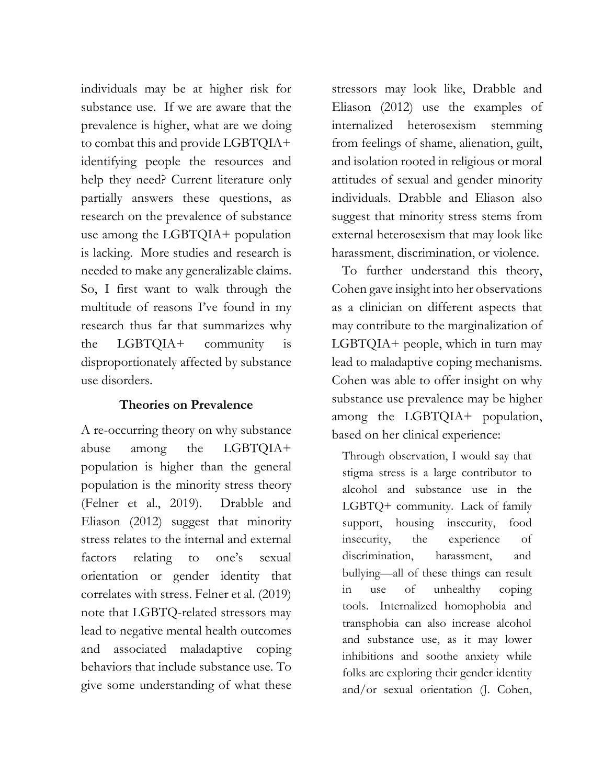individuals may be at higher risk for substance use. If we are aware that the prevalence is higher, what are we doing to combat this and provide LGBTQIA+ identifying people the resources and help they need? Current literature only partially answers these questions, as research on the prevalence of substance use among the LGBTQIA+ population is lacking. More studies and research is needed to make any generalizable claims. So, I first want to walk through the multitude of reasons I've found in my research thus far that summarizes why the LGBTQIA+ community is disproportionately affected by substance use disorders.

## **Theories on Prevalence**

A re-occurring theory on why substance abuse among the LGBTQIA+ population is higher than the general population is the minority stress theory (Felner et al., 2019). Drabble and Eliason (2012) suggest that minority stress relates to the internal and external factors relating to one's sexual orientation or gender identity that correlates with stress. Felner et al. (2019) note that LGBTQ-related stressors may lead to negative mental health outcomes and associated maladaptive coping behaviors that include substance use. To give some understanding of what these

stressors may look like, Drabble and Eliason (2012) use the examples of internalized heterosexism stemming from feelings of shame, alienation, guilt, and isolation rooted in religious or moral attitudes of sexual and gender minority individuals. Drabble and Eliason also suggest that minority stress stems from external heterosexism that may look like harassment, discrimination, or violence.

To further understand this theory, Cohen gave insight into her observations as a clinician on different aspects that may contribute to the marginalization of LGBTQIA+ people, which in turn may lead to maladaptive coping mechanisms. Cohen was able to offer insight on why substance use prevalence may be higher among the LGBTQIA+ population, based on her clinical experience:

Through observation, I would say that stigma stress is a large contributor to alcohol and substance use in the LGBTQ+ community. Lack of family support, housing insecurity, food insecurity, the experience of discrimination, harassment, and bullying—all of these things can result in use of unhealthy coping tools. Internalized homophobia and transphobia can also increase alcohol and substance use, as it may lower inhibitions and soothe anxiety while folks are exploring their gender identity and/or sexual orientation (J. Cohen,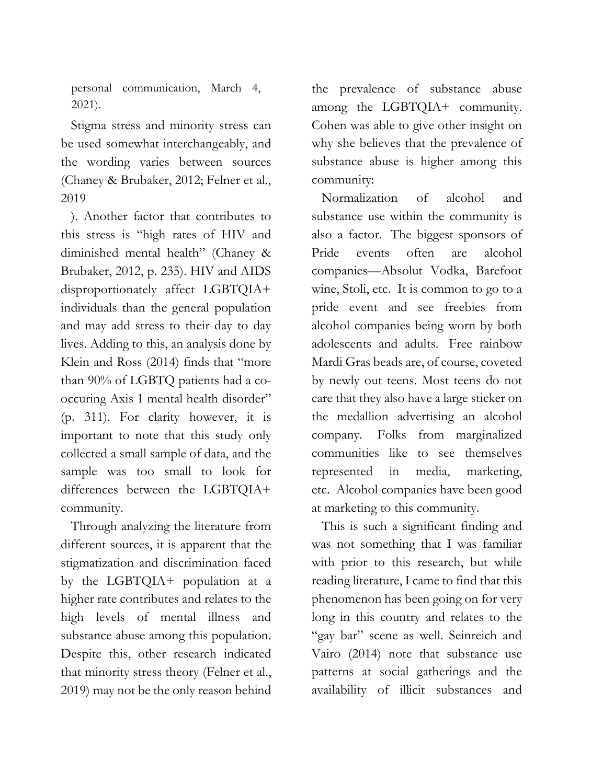personal communication, March 4, 2021).

Stigma stress and minority stress can be used somewhat interchangeably, and the wording varies between sources (Chaney & Brubaker, 2012; Felner et al., 2019

). Another factor that contributes to this stress is "high rates of HIV and diminished mental health" (Chaney & Brubaker, 2012, p. 235). HIV and AIDS disproportionately affect LGBTQIA+ individuals than the general population and may add stress to their day to day lives. Adding to this, an analysis done by Klein and Ross (2014) finds that "more than 90% of LGBTQ patients had a cooccuring Axis 1 mental health disorder" (p. 311). For clarity however, it is important to note that this study only collected a small sample of data, and the sample was too small to look for differences between the LGBTQIA+ community.

Through analyzing the literature from different sources, it is apparent that the stigmatization and discrimination faced by the LGBTQIA+ population at a higher rate contributes and relates to the high levels of mental illness and substance abuse among this population. Despite this, other research indicated that minority stress theory (Felner et al., 2019) may not be the only reason behind the prevalence of substance abuse among the LGBTQIA+ community. Cohen was able to give other insight on why she believes that the prevalence of substance abuse is higher among this community:

Normalization of alcohol and substance use within the community is also a factor. The biggest sponsors of Pride events often are alcohol companies—Absolut Vodka, Barefoot wine, Stoli, etc. It is common to go to a pride event and see freebies from alcohol companies being worn by both adolescents and adults. Free rainbow Mardi Gras beads are, of course, coveted by newly out teens. Most teens do not care that they also have a large sticker on the medallion advertising an alcohol company. Folks from marginalized communities like to see themselves represented in media, marketing, etc. Alcohol companies have been good at marketing to this community.

This is such a significant finding and was not something that I was familiar with prior to this research, but while reading literature, I came to find that this phenomenon has been going on for very long in this country and relates to the "gay bar" scene as well. Seinreich and Vairo (2014) note that substance use patterns at social gatherings and the availability of illicit substances and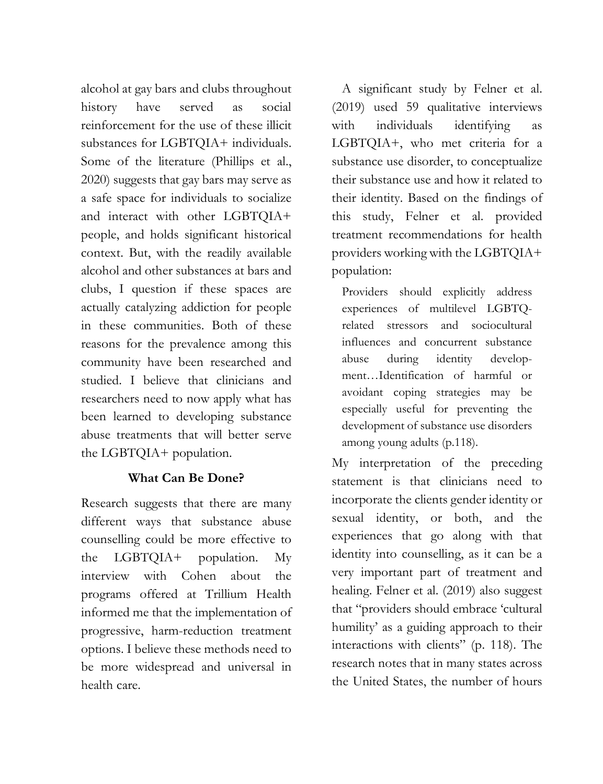alcohol at gay bars and clubs throughout history have served as social reinforcement for the use of these illicit substances for LGBTQIA+ individuals. Some of the literature (Phillips et al., 2020) suggests that gay bars may serve as a safe space for individuals to socialize and interact with other LGBTQIA+ people, and holds significant historical context. But, with the readily available alcohol and other substances at bars and clubs, I question if these spaces are actually catalyzing addiction for people in these communities. Both of these reasons for the prevalence among this community have been researched and studied. I believe that clinicians and researchers need to now apply what has been learned to developing substance abuse treatments that will better serve the LGBTQIA+ population.

## **What Can Be Done?**

Research suggests that there are many different ways that substance abuse counselling could be more effective to the LGBTQIA+ population. My interview with Cohen about the programs offered at Trillium Health informed me that the implementation of progressive, harm-reduction treatment options. I believe these methods need to be more widespread and universal in health care.

A significant study by Felner et al. (2019) used 59 qualitative interviews with individuals identifying as LGBTQIA+, who met criteria for a substance use disorder, to conceptualize their substance use and how it related to their identity. Based on the findings of this study, Felner et al. provided treatment recommendations for health providers working with the LGBTQIA+ population:

Providers should explicitly address experiences of multilevel LGBTQrelated stressors and sociocultural influences and concurrent substance abuse during identity development…Identification of harmful or avoidant coping strategies may be especially useful for preventing the development of substance use disorders among young adults (p.118).

My interpretation of the preceding statement is that clinicians need to incorporate the clients gender identity or sexual identity, or both, and the experiences that go along with that identity into counselling, as it can be a very important part of treatment and healing. Felner et al. (2019) also suggest that "providers should embrace 'cultural humility' as a guiding approach to their interactions with clients" (p. 118). The research notes that in many states across the United States, the number of hours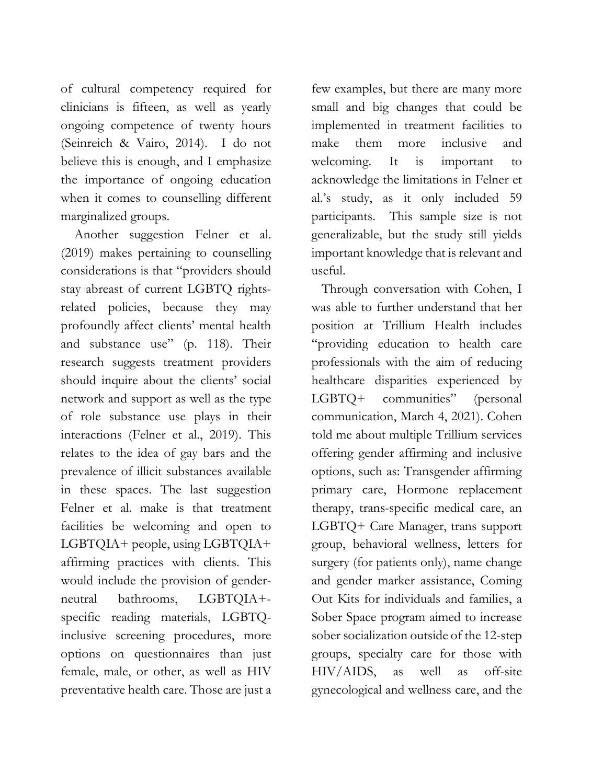of cultural competency required for clinicians is fifteen, as well as yearly ongoing competence of twenty hours (Seinreich & Vairo, 2014). I do not believe this is enough, and I emphasize the importance of ongoing education when it comes to counselling different marginalized groups.

 Another suggestion Felner et al. (2019) makes pertaining to counselling considerations is that "providers should stay abreast of current LGBTQ rightsrelated policies, because they may profoundly affect clients' mental health and substance use" (p. 118). Their research suggests treatment providers should inquire about the clients' social network and support as well as the type of role substance use plays in their interactions (Felner et al., 2019). This relates to the idea of gay bars and the prevalence of illicit substances available in these spaces. The last suggestion Felner et al. make is that treatment facilities be welcoming and open to LGBTQIA+ people, using LGBTQIA+ affirming practices with clients. This would include the provision of genderneutral bathrooms, LGBTQIA+ specific reading materials, LGBTQinclusive screening procedures, more options on questionnaires than just female, male, or other, as well as HIV preventative health care. Those are just a

few examples, but there are many more small and big changes that could be implemented in treatment facilities to make them more inclusive and welcoming. It is important to acknowledge the limitations in Felner et al.'s study, as it only included 59 participants. This sample size is not generalizable, but the study still yields important knowledge that is relevant and useful.

Through conversation with Cohen, I was able to further understand that her position at Trillium Health includes "providing education to health care professionals with the aim of reducing healthcare disparities experienced by LGBTQ+ communities" (personal communication, March 4, 2021). Cohen told me about multiple Trillium services offering gender affirming and inclusive options, such as: Transgender affirming primary care, Hormone replacement therapy, trans-specific medical care, an LGBTQ+ Care Manager, trans support group, behavioral wellness, letters for surgery (for patients only), name change and gender marker assistance, Coming Out Kits for individuals and families, a Sober Space program aimed to increase sober socialization outside of the 12-step groups, specialty care for those with HIV/AIDS, as well as off-site gynecological and wellness care, and the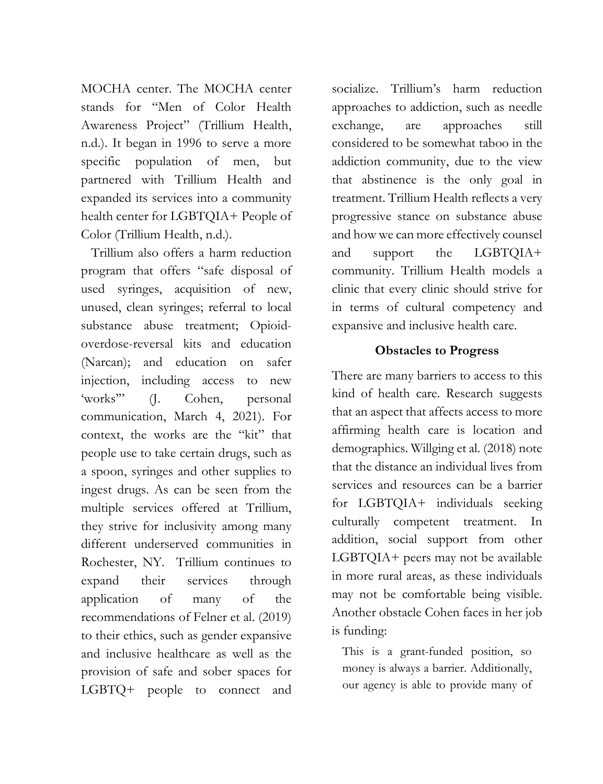MOCHA center. The MOCHA center stands for "Men of Color Health Awareness Project" (Trillium Health, n.d.). It began in 1996 to serve a more specific population of men, but partnered with Trillium Health and expanded its services into a community health center for LGBTQIA+ People of Color (Trillium Health, n.d.).

Trillium also offers a harm reduction program that offers "safe disposal of used syringes, acquisition of new, unused, clean syringes; referral to local substance abuse treatment; Opioidoverdose-reversal kits and education (Narcan); and education on safer injection, including access to new 'works'" (J. Cohen, personal communication, March 4, 2021). For context, the works are the "kit" that people use to take certain drugs, such as a spoon, syringes and other supplies to ingest drugs. As can be seen from the multiple services offered at Trillium, they strive for inclusivity among many different underserved communities in Rochester, NY. Trillium continues to expand their services through application of many of the recommendations of Felner et al. (2019) to their ethics, such as gender expansive and inclusive healthcare as well as the provision of safe and sober spaces for LGBTQ+ people to connect and socialize. Trillium's harm reduction approaches to addiction, such as needle exchange, are approaches still considered to be somewhat taboo in the addiction community, due to the view that abstinence is the only goal in treatment. Trillium Health reflects a very progressive stance on substance abuse and how we can more effectively counsel and support the LGBTQIA+ community. Trillium Health models a clinic that every clinic should strive for in terms of cultural competency and expansive and inclusive health care.

### **Obstacles to Progress**

There are many barriers to access to this kind of health care. Research suggests that an aspect that affects access to more affirming health care is location and demographics. Willging et al. (2018) note that the distance an individual lives from services and resources can be a barrier for LGBTQIA+ individuals seeking culturally competent treatment. In addition, social support from other LGBTQIA+ peers may not be available in more rural areas, as these individuals may not be comfortable being visible. Another obstacle Cohen faces in her job is funding:

This is a grant-funded position, so money is always a barrier. Additionally, our agency is able to provide many of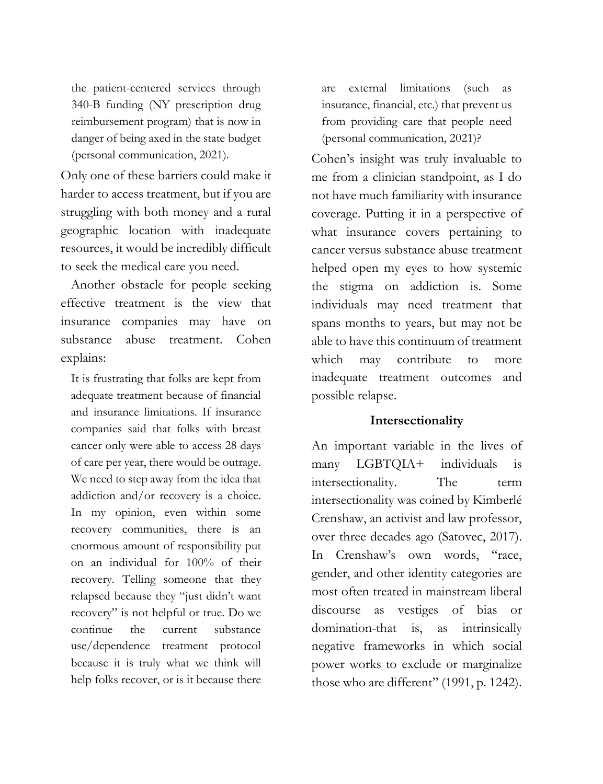the patient-centered services through 340-B funding (NY prescription drug reimbursement program) that is now in danger of being axed in the state budget (personal communication, 2021).

Only one of these barriers could make it harder to access treatment, but if you are struggling with both money and a rural geographic location with inadequate resources, it would be incredibly difficult to seek the medical care you need.

Another obstacle for people seeking effective treatment is the view that insurance companies may have on substance abuse treatment. Cohen explains:

It is frustrating that folks are kept from adequate treatment because of financial and insurance limitations. If insurance companies said that folks with breast cancer only were able to access 28 days of care per year, there would be outrage. We need to step away from the idea that addiction and/or recovery is a choice. In my opinion, even within some recovery communities, there is an enormous amount of responsibility put on an individual for 100% of their recovery. Telling someone that they relapsed because they "just didn't want recovery" is not helpful or true. Do we continue the current substance use/dependence treatment protocol because it is truly what we think will help folks recover, or is it because there

are external limitations (such as insurance, financial, etc.) that prevent us from providing care that people need (personal communication, 2021)?

Cohen's insight was truly invaluable to me from a clinician standpoint, as I do not have much familiarity with insurance coverage. Putting it in a perspective of what insurance covers pertaining to cancer versus substance abuse treatment helped open my eyes to how systemic the stigma on addiction is. Some individuals may need treatment that spans months to years, but may not be able to have this continuum of treatment which may contribute to more inadequate treatment outcomes and possible relapse.

#### **Intersectionality**

An important variable in the lives of many LGBTQIA+ individuals is intersectionality. The term intersectionality was coined by Kimberlé Crenshaw, an activist and law professor, over three decades ago (Satovec, 2017). In Crenshaw's own words, "race, gender, and other identity categories are most often treated in mainstream liberal discourse as vestiges of bias or domination-that is, as intrinsically negative frameworks in which social power works to exclude or marginalize those who are different" (1991, p. 1242).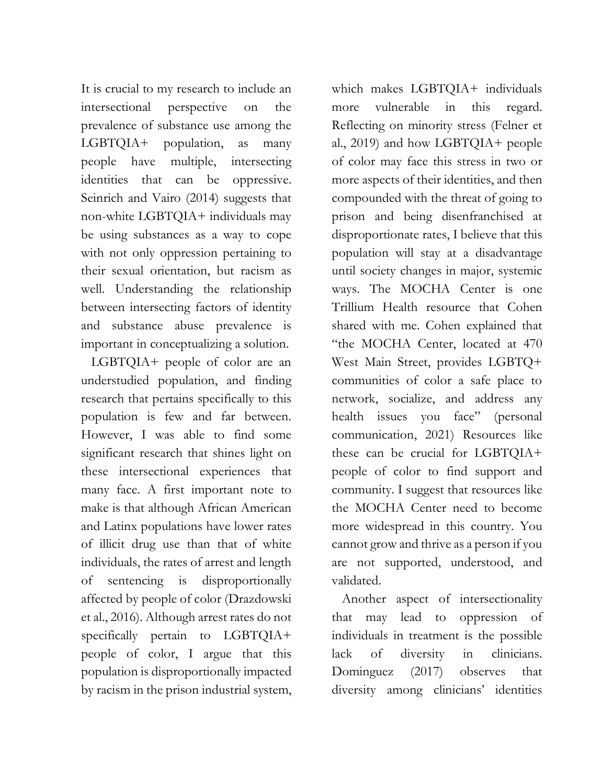It is crucial to my research to include an intersectional perspective on the prevalence of substance use among the LGBTQIA+ population, as many people have multiple, intersecting identities that can be oppressive. Seinrich and Vairo (2014) suggests that non-white LGBTQIA+ individuals may be using substances as a way to cope with not only oppression pertaining to their sexual orientation, but racism as well. Understanding the relationship between intersecting factors of identity and substance abuse prevalence is important in conceptualizing a solution.

LGBTQIA+ people of color are an understudied population, and finding research that pertains specifically to this population is few and far between. However, I was able to find some significant research that shines light on these intersectional experiences that many face. A first important note to make is that although African American and Latinx populations have lower rates of illicit drug use than that of white individuals, the rates of arrest and length of sentencing is disproportionally affected by people of color (Drazdowski et al., 2016). Although arrest rates do not specifically pertain to LGBTQIA+ people of color, I argue that this population is disproportionally impacted by racism in the prison industrial system,

which makes LGBTQIA+ individuals more vulnerable in this regard. Reflecting on minority stress (Felner et al., 2019) and how LGBTQIA+ people of color may face this stress in two or more aspects of their identities, and then compounded with the threat of going to prison and being disenfranchised at disproportionate rates, I believe that this population will stay at a disadvantage until society changes in major, systemic ways. The MOCHA Center is one Trillium Health resource that Cohen shared with me. Cohen explained that "the MOCHA Center, located at 470 West Main Street, provides LGBTQ+ communities of color a safe place to network, socialize, and address any health issues you face" (personal communication, 2021) Resources like these can be crucial for LGBTQIA+ people of color to find support and community. I suggest that resources like the MOCHA Center need to become more widespread in this country. You cannot grow and thrive as a person if you are not supported, understood, and validated.

Another aspect of intersectionality that may lead to oppression of individuals in treatment is the possible lack of diversity in clinicians. Dominguez (2017) observes that diversity among clinicians' identities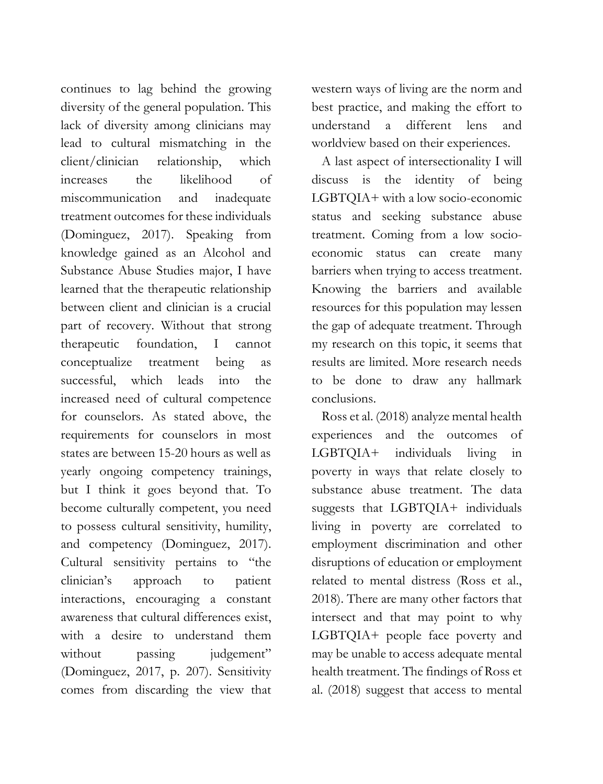continues to lag behind the growing diversity of the general population. This lack of diversity among clinicians may lead to cultural mismatching in the client/clinician relationship, which increases the likelihood of miscommunication and inadequate treatment outcomes for these individuals (Dominguez, 2017). Speaking from knowledge gained as an Alcohol and Substance Abuse Studies major, I have learned that the therapeutic relationship between client and clinician is a crucial part of recovery. Without that strong therapeutic foundation, I cannot conceptualize treatment being as successful, which leads into the increased need of cultural competence for counselors. As stated above, the requirements for counselors in most states are between 15-20 hours as well as yearly ongoing competency trainings, but I think it goes beyond that. To become culturally competent, you need to possess cultural sensitivity, humility, and competency (Dominguez, 2017). Cultural sensitivity pertains to "the clinician's approach to patient interactions, encouraging a constant awareness that cultural differences exist, with a desire to understand them without passing judgement" (Dominguez, 2017, p. 207). Sensitivity comes from discarding the view that western ways of living are the norm and best practice, and making the effort to understand a different lens and worldview based on their experiences.

A last aspect of intersectionality I will discuss is the identity of being LGBTQIA+ with a low socio-economic status and seeking substance abuse treatment. Coming from a low socioeconomic status can create many barriers when trying to access treatment. Knowing the barriers and available resources for this population may lessen the gap of adequate treatment. Through my research on this topic, it seems that results are limited. More research needs to be done to draw any hallmark conclusions.

Ross et al. (2018) analyze mental health experiences and the outcomes of LGBTQIA+ individuals living in poverty in ways that relate closely to substance abuse treatment. The data suggests that LGBTQIA+ individuals living in poverty are correlated to employment discrimination and other disruptions of education or employment related to mental distress (Ross et al., 2018). There are many other factors that intersect and that may point to why LGBTQIA+ people face poverty and may be unable to access adequate mental health treatment. The findings of Ross et al. (2018) suggest that access to mental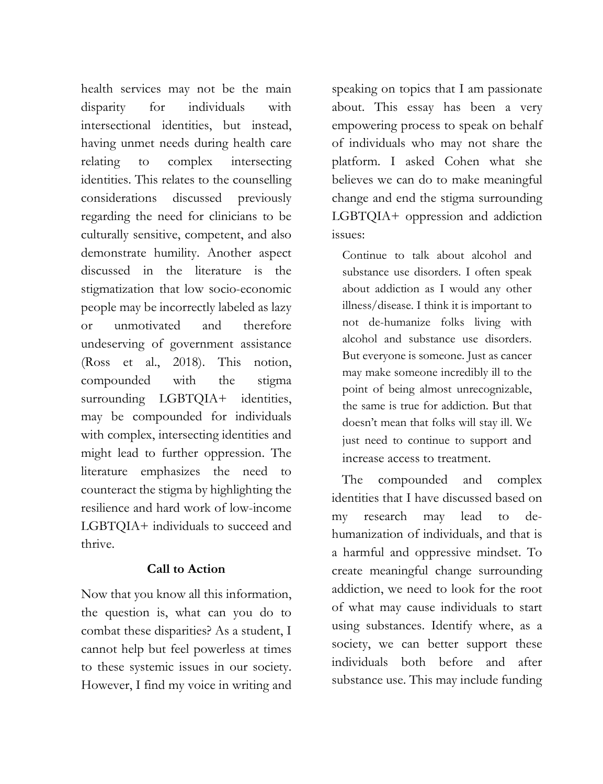health services may not be the main disparity for individuals with intersectional identities, but instead, having unmet needs during health care relating to complex intersecting identities. This relates to the counselling considerations discussed previously regarding the need for clinicians to be culturally sensitive, competent, and also demonstrate humility. Another aspect discussed in the literature is the stigmatization that low socio-economic people may be incorrectly labeled as lazy or unmotivated and therefore undeserving of government assistance (Ross et al., 2018). This notion, compounded with the stigma surrounding LGBTQIA+ identities, may be compounded for individuals with complex, intersecting identities and might lead to further oppression. The literature emphasizes the need to counteract the stigma by highlighting the resilience and hard work of low-income LGBTQIA+ individuals to succeed and thrive.

## **Call to Action**

Now that you know all this information, the question is, what can you do to combat these disparities? As a student, I cannot help but feel powerless at times to these systemic issues in our society. However, I find my voice in writing and speaking on topics that I am passionate about. This essay has been a very empowering process to speak on behalf of individuals who may not share the platform. I asked Cohen what she believes we can do to make meaningful change and end the stigma surrounding LGBTQIA+ oppression and addiction issues:

Continue to talk about alcohol and substance use disorders. I often speak about addiction as I would any other illness/disease. I think it is important to not de-humanize folks living with alcohol and substance use disorders. But everyone is someone. Just as cancer may make someone incredibly ill to the point of being almost unrecognizable, the same is true for addiction. But that doesn't mean that folks will stay ill. We just need to continue to support and increase access to treatment.

The compounded and complex identities that I have discussed based on my research may lead to dehumanization of individuals, and that is a harmful and oppressive mindset. To create meaningful change surrounding addiction, we need to look for the root of what may cause individuals to start using substances. Identify where, as a society, we can better support these individuals both before and after substance use. This may include funding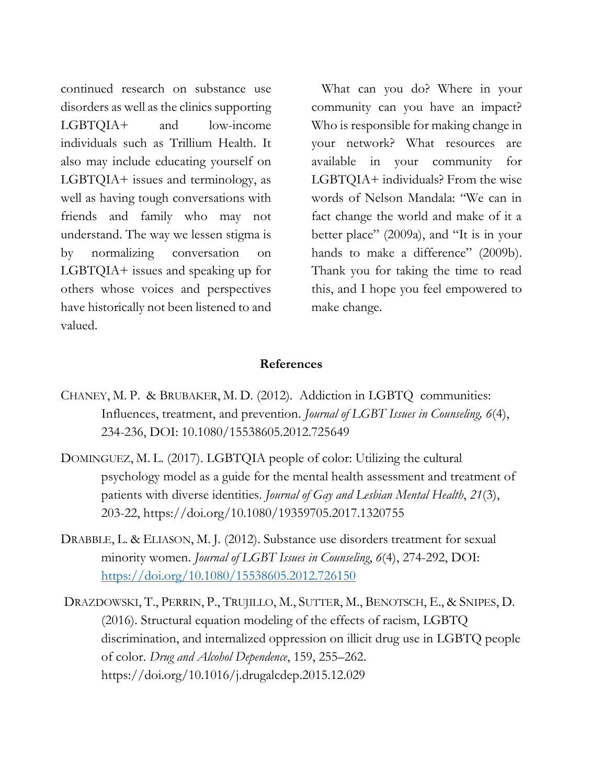continued research on substance use disorders as well as the clinics supporting LGBTQIA+ and low-income individuals such as Trillium Health. It also may include educating yourself on LGBTQIA+ issues and terminology, as well as having tough conversations with friends and family who may not understand. The way we lessen stigma is by normalizing conversation on LGBTQIA+ issues and speaking up for others whose voices and perspectives have historically not been listened to and valued.

What can you do? Where in your community can you have an impact? Who is responsible for making change in your network? What resources are available in your community for LGBTQIA+ individuals? From the wise words of Nelson Mandala: "We can in fact change the world and make of it a better place" (2009a), and "It is in your hands to make a difference" (2009b). Thank you for taking the time to read this, and I hope you feel empowered to make change.

#### **References**

- CHANEY, M. P. & BRUBAKER, M. D. (2012). Addiction in LGBTQ communities: Influences, treatment, and prevention. *Journal of LGBT Issues in Counseling, 6*(4), 234-236, DOI: 10.1080/15538605.2012.725649
- DOMINGUEZ, M. L. (2017). LGBTQIA people of color: Utilizing the cultural psychology model as a guide for the mental health assessment and treatment of patients with diverse identities. *Journal of Gay and Lesbian Mental Health*, *21*(3), 203-22, https://doi.org/10.1080/19359705.2017.1320755
- DRABBLE, L. & ELIASON, M. J. (2012). Substance use disorders treatment for sexual minority women. *Journal of LGBT Issues in Counseling*, *6*(4), 274-292, DOI: <https://doi.org/10.1080/15538605.2012.726150>
- DRAZDOWSKI, T., PERRIN, P., TRUJILLO, M., SUTTER, M., BENOTSCH, E., & SNIPES, D. (2016). Structural equation modeling of the effects of racism, LGBTQ discrimination, and internalized oppression on illicit drug use in LGBTQ people of color. *Drug and Alcohol Dependence*, 159, 255–262. https://doi.org/10.1016/j.drugalcdep.2015.12.029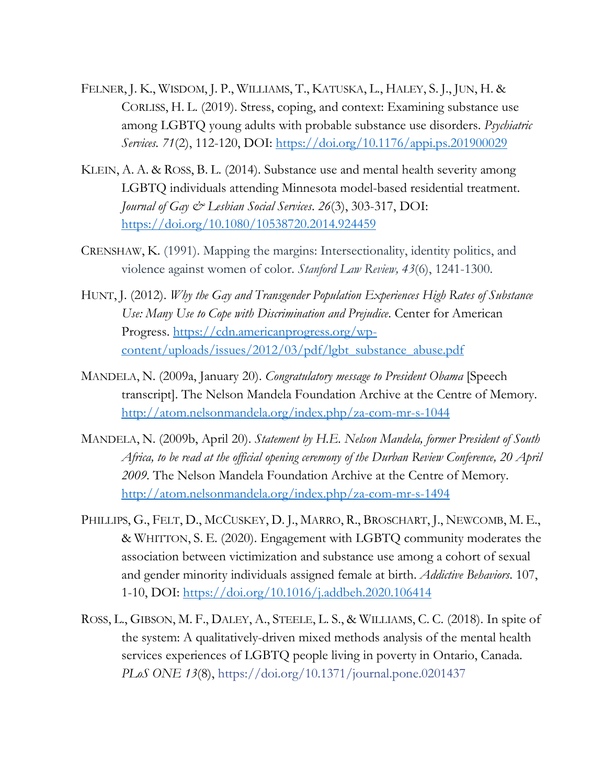- FELNER, J. K., WISDOM, J. P., WILLIAMS, T., KATUSKA, L., HALEY, S. J., JUN, H. & CORLISS, H. L. (2019). Stress, coping, and context: Examining substance use among LGBTQ young adults with probable substance use disorders. *Psychiatric Services. 71*(2), 112-120, DOI:<https://doi.org/10.1176/appi.ps.201900029>
- KLEIN, A. A. & ROSS, B. L. (2014). Substance use and mental health severity among LGBTQ individuals attending Minnesota model-based residential treatment. *Journal of Gay & Lesbian Social Services*. *26*(3), 303-317, DOI: <https://doi.org/10.1080/10538720.2014.924459>
- CRENSHAW, K. (1991). Mapping the margins: Intersectionality, identity politics, and violence against women of color. *Stanford Law Review, 43*(6), 1241-1300.
- HUNT, J. (2012). *Why the Gay and Transgender Population Experiences High Rates of Substance Use: Many Use to Cope with Discrimination and Prejudice*. Center for American Progress. [https://cdn.americanprogress.org/wp](https://cdn.americanprogress.org/wp-content/uploads/issues/2012/03/pdf/lgbt_substance_abuse.pdf)[content/uploads/issues/2012/03/pdf/lgbt\\_substance\\_abuse.pdf](https://cdn.americanprogress.org/wp-content/uploads/issues/2012/03/pdf/lgbt_substance_abuse.pdf)
- MANDELA, N. (2009a, January 20). *Congratulatory message to President Obama* [Speech transcript]. The Nelson Mandela Foundation Archive at the Centre of Memory. <http://atom.nelsonmandela.org/index.php/za-com-mr-s-1044>
- MANDELA, N. (2009b, April 20). *Statement by H.E. Nelson Mandela, former President of South Africa, to be read at the official opening ceremony of the Durban Review Conference, 20 April 2009.* The Nelson Mandela Foundation Archive at the Centre of Memory. <http://atom.nelsonmandela.org/index.php/za-com-mr-s-1494>
- PHILLIPS, G., FELT, D., MCCUSKEY, D. J., MARRO, R., BROSCHART, J., NEWCOMB, M. E., & WHITTON, S. E. (2020). Engagement with LGBTQ community moderates the association between victimization and substance use among a cohort of sexual and gender minority individuals assigned female at birth. *Addictive Behaviors*. 107, 1-10, DOI:<https://doi.org/10.1016/j.addbeh.2020.106414>
- ROSS, L., GIBSON, M. F., DALEY, A., STEELE, L. S., & WILLIAMS, C. C. (2018). In spite of the system: A qualitatively-driven mixed methods analysis of the mental health services experiences of LGBTQ people living in poverty in Ontario, Canada. *PLoS ONE 13*(8), https://doi.org/10.1371/journal.pone.0201437